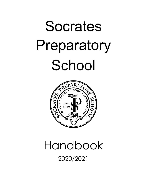# Socrates Preparatory School



# Handbook 2020/2021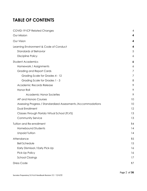# **TABLE OF CONTENTS**

| COVID-19 ICP Related Changes                                   | 4  |
|----------------------------------------------------------------|----|
| Our Mission                                                    | 4  |
| Our Vision                                                     | 4  |
| Learning Environment & Code of Conduct                         | 4  |
| <b>Standards of Behavior</b>                                   | 5  |
| <b>Discipline Policy</b>                                       | 6  |
| <b>Student Academics</b>                                       | 6  |
| Homework / Assignments                                         | 6  |
| <b>Grading and Report Cards</b>                                | 7  |
| Grading Scale for Grades 4 - 12                                | 7  |
| Grading Scale for Grades 1 - 3                                 | 8  |
| Academic Records Release                                       | 9  |
| Honor Roll                                                     | 9  |
| Academic Honor Societies                                       | 9  |
| AP and Honors Courses                                          | 10 |
| Assessing Progress / Standardized Assessments / Accommodations | 10 |
| Dual Enrollment                                                | 12 |
| Classes through Florida Virtual School (FLVS)                  | 13 |
| Community Service                                              | 13 |
| Tuition and Re-enrollment                                      | 14 |
| <b>Homebound Students</b>                                      | 14 |
| <b>Unpaid Tuition</b>                                          | 14 |
| Attendance                                                     | 15 |
| <b>Bell Schedule</b>                                           | 15 |
| Early Dismissal / Early Pick-Up                                | 16 |
| Pick-Up Policy                                                 | 16 |
| <b>School Closings</b>                                         | 17 |
| <b>Dress Code</b>                                              | 17 |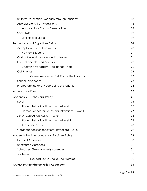| Uniform Description - Monday through Thursday      | 18 |
|----------------------------------------------------|----|
| Appropriate Attire - Fridays only                  | 18 |
| Inappropriate Dress & Presentation                 | 18 |
| Spirit Shirts                                      | 19 |
| Lockers and Locks                                  | 19 |
| Technology and Digital Use Policy                  | 20 |
| Acceptable Use of Electronics                      | 20 |
| Network Etiquette                                  | 21 |
| Cost of Network Services and Software              | 21 |
| Internet and Network Security                      | 22 |
| Electronic Vandalism/Negligence/Theft              | 22 |
| Cell Phones                                        | 23 |
| Consequences for Cell Phone Use Infractions:       | 23 |
| <b>School Telephones</b>                           | 23 |
| Photographing and Videotaping of Students          | 24 |
| Acceptance Form                                    | 25 |
| Appendix A - Behavioral Policy                     | 26 |
| Level I                                            | 26 |
| <b>Student Behavioral Infractions - Level I</b>    | 27 |
| Consequences for Behavioral Infractions - Level I  | 27 |
| ZERO TOLERANCE POLICY - Level II                   | 28 |
| Student Behavioral Infractions - Level II          | 28 |
| Substance Abuse                                    | 28 |
| Consequences for Behavioral Infractions - Level II | 29 |
| Appendix B – Attendance and Tardiness Policy       | 28 |
| <b>Excused Absences</b>                            | 30 |
| <b>Unexcused Absences</b>                          | 31 |
| Scheduled (Pre-Arranged) Absences                  | 31 |
| <b>Tardiness</b>                                   | 32 |
| <b>Excused versus Unexcused "Tardies"</b>          | 32 |
| <b>COVID-19 Attendance Policy Addendum</b>         | 33 |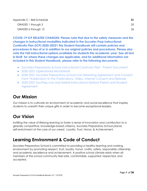| Appendix C – Bell Schedule |    |
|----------------------------|----|
| GRADES 1 through 5         | 35 |
| GRADES 6 through 12        | 36 |

**COVID-19 ICP RELATED CHANGES: Please note that due to the safety measures and the changes in instructional modalities indicated in the Socrates Prep Instructional Continuity Plan (ICP) 2020-20221 this Student Handbook will contain policies and procedures in lieu of or in addition to our original policies and procedures. Please also note the Fall instructional options available for students this academic year. See all text in BLUE for where these changes are applicable, and for additional information not included in this Student Handbook, please refer to the following documents:**

- <span id="page-3-0"></span>● Socrates Preparatory School Instructional Continuity Plan - Parent Document
- 2020-2021 Operational MicroDetail
- 2020-2021 Socrates Preparatory School Live Streaming Agreement and Consent Form *\*Addendum to the Publications, Video, Internet Consent and Release*
- 2020-2021 SocPrep Live and Hybrid Instructional Options Parent and Student **Agreement**

# <span id="page-3-1"></span>**Our Mission**

Our mission is to cultivate an environment of academic and social excellence that inspires students to unearth their unique gifts in order to become exceptional leaders.

# <span id="page-3-2"></span>**Our Vision**

Instilling the value of lifelong learning to foster a sense of innovation and contribution to a globally competitive, knowledge-based citizenry, Socrates Preparatory School places self-enrichment at the core of our creed: Loyalty, Trust, Honor, & Achievement.

# <span id="page-3-3"></span>**Learning Environment & Code of Conduct**

Socrates Preparatory School is committed to providing a healthy learning and working environment by promoting respect, trust, loyalty, honor, civility, safety, responsible citizenship and academic excellence and achievement. A positive school climate exists when all members of the school community feel safe, comfortable, supported, respected, and accepted.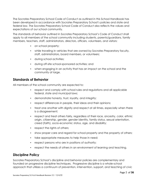The Socrates Preparatory School Code of Conduct as outlined in this School Handbook has been developed in accordance with Socrates Preparatory School's policies and state and federal law. The Socrates Preparatory School Code of Conduct also reflects the values and expectations of our school community.

The standards of behavior outlined in Socrates Preparatory School's Code of Conduct shall apply to all members of the school community including students, parents/guardians, family members, teachers, staff, administrators, directors, officers, volunteers, and visitors:

- on school property;
- while traveling in vehicles that are owned by Socrates Preparatory faculty, staff, administrators, board members, or volunteers;
- during school activities;
- during off-site school-sponsored activities; and
- when engaging in an activity that has an impact on the school and the community at large.

#### <span id="page-4-0"></span>**Standards of Behavior**

All members of the school community are expected to:

- respect and comply with school rules and regulations and all applicable federal, state and municipal laws;
- demonstrate honesty, trust, loyalty, and integrity;
- respect differences in people, their ideas and their opinions;
- treat one another with dignity and respect at all times, especially when there is a disagreement;
- respect and treat others fairly, regardless of their race, ancestry, color, ethnic origin, citizenship, gender, gender identity, family status, sexual orientation, creed (faith), socio-economic status, age, and disability;
- respect the rights of others;
- show proper care and regard for school property and the property of others;
- take appropriate measures to help those in need;
- respect persons who are in positions of authority;
- respect the needs of others in an environment of learning and teaching.

#### <span id="page-4-1"></span>**Discipline Policy**

Socrates Preparatory School's discipline and behavior policies are complementary and founded on progressive discipline techniques. Progressive discipline is a whole-school approach that utilizes a continuum of prevention, intervention, support, and teaching of civic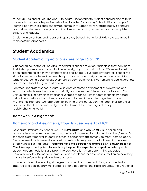responsibilities and ethics. The goal is to address inappropriate student behavior and to build upon acts that promote positive behaviors. Socrates Preparatory School utilizes a range of learning opportunities and school wide community support for reinforcing positive behavior and helping students make good choices toward becoming respected and accomplished citizens and leaders.

Discipline Interventions and Socrates Preparatory School's Behavioral Policy are explained in more detail in Appendix A.

# <span id="page-5-0"></span>**Student Academics**

#### **Student Academic Expectations - See Page 15 of ICP**

Our goal as educators at Socrates Preparatory School is to guide students so they can meet their fullest potential -- emotionally, intellectually, physically and socially. We never forget that each child has his or her own strengths and challenges. At Socrates Preparatory School, we strive to create a safe environment that promotes academic rigor, curiosity and creativity, while encouraging personal discovery, self-esteem, community involvement, global awareness and respect for all things and all people.

Socrates Preparatory School creates a student-centered environment of exploration and education which fuels the students' curiosity and ignites their interest and motivation. Our unique curriculum combines traditional Socratic teaching with modern technology-based instructional methods to challenge our students to use higher order cognitive skills and multiple-intelligences. Our approach to learning allows our students to reach their potential and attain the skills and knowledge needed to meet the challenges of today's rapidly-changing world.

#### <span id="page-5-1"></span>**Homework / Assignments**

#### **Homework and Assignments/Projects - See page 15 of ICP**

At Socrates Preparatory School, we use **HOMEWORK** and **ASSIGNMENTS** to enrich and reinforce learning objectives. We do not believe in homework or classwork as "busy" work. Our teachers closely monitor students in order to personalize assignments to meet learning goals. Because we utilize homework and assignments in this way, work that is turned in late loses effectiveness. For that reason, **teachers have the discretion to enforce a LATE WORK policy of 5% off (or equivalent points) for each day beyond the expected completion date.** Specific student accommodations are taken into consideration when determining expected completion dates. Please see individual teacher syllabus for detailed information on how they choose to enforce this policy in their classroom.

In order to determine learning strategies and specific accommodations, each student is assessed and continuously monitored to ensure academic and social progress. The Director of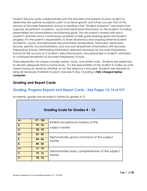Student Services works collaboratively with the teachers and parents of each student to determine the optimal academic path to achieve growth and future success. Part of this process at Socrates Preparatory School is creating a live "Student Snapshot" document that captures all pertinent academic, social and behavioral information on the student, including personalized accommodations and learning goals. This document is shared with each student's teachers and is continuously updated to help guide learning goals and student progress. It is the parent's responsibility to share all previous and ongoing external student academic, social, and behavioral documentation (evaluations, transcripts, behavioral records, specific accommodations, and any and all pertinent information) with Socrates Preparatory School. Withholding information deemed necessary by Socrates Preparatory School for the success of a student's educational plan, may jeopardize a student's admission or continued enrollment at Socrates Preparatory School.

Daily preparation for classes includes review, study, and written work. Students are expected to devote adequate time to home study. It is the responsibility of the student to make up work missed during an absence whether or not the absence is excused. Students are required to bring all necessary materials to each class each day, including a **fully charged laptop computer**.

#### **Grading and Report Cards**

#### **Grading, Progress Reports and Report Cards - See Pages 13-14 of ICP**

Academic grades are recorded in letters for grades 4-12.

<span id="page-6-0"></span>

| <b>Grading Scale for Grades 4 - 12</b> |            |                                                 |
|----------------------------------------|------------|-------------------------------------------------|
| $A+$                                   | $97 - 100$ | Exhibits exceptional mastery of the             |
| $\mathbf{A}$                           | $94 - 96$  | subject matter                                  |
| $A -$                                  | $90 - 93$  |                                                 |
| $B+$                                   | $87 - 89$  | Demonstrates good command of the subject        |
| $\mathbf B$                            | $84 - 86$  | matter                                          |
| <b>B-</b>                              | $80 - 83$  |                                                 |
| $\overline{C}$                         | $77 - 79$  | Demonstrates basic comprehension of the subject |
| $\mathbf{C}$                           | $74 - 76$  | matter                                          |
| $\overline{C}$                         | $70 - 73$  |                                                 |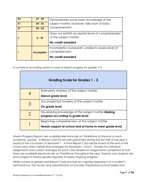| $D+$ | $67 - 69$  | Demonstrates some basic knowledge of the                                                       |
|------|------------|------------------------------------------------------------------------------------------------|
| D    | $64 - 66$  | subject matter; however, falls short of basic                                                  |
| D-   | $60 - 63$  | comprehension                                                                                  |
|      | $0 - 59$   | Does not exhibit accepted level of comprehension<br>of the subject matter<br>No credit awarded |
|      | Incomplete | Incomplete coursework; unable to assess level of<br>comprehension                              |

A numerical recording system is used to report progress for grades 1-3.

<span id="page-7-0"></span>

| Grading Scale for Grades 1 - 3 |                                                          |  |
|--------------------------------|----------------------------------------------------------|--|
|                                | Exemplary mastery of the subject matter                  |  |
|                                | Above grade level                                        |  |
| 3                              | Accomplished mastery of the subject matter               |  |
|                                | On grade level                                           |  |
| 2                              | Developing knowledge of the subject matter Making        |  |
|                                | progress according to grade level                        |  |
|                                | Beginning comprehension of the subject matter            |  |
|                                | Needs support at school and at home to meet grade level. |  |

Interim Progress Reports are available electronically on ThinkWave at the end of each academic quarter. A Report Card for all work performed during the first half of the year is issued at the conclusion of Semester 1. A Final Report Card will be issued at the end of the school year which details final averages for Semesters 1 and 2. Grades for individual assignments and current averages for each class (based on assignments completed at that time) are available electronically on ThinkWave throughout the year. Parents and students are encouraged to review grades regularly to assess ongoing progress.

While numerical grades and Report Cards provide an ongoing assessment of a student's performance, the faculty and administrators at Socrates Preparatory School realize that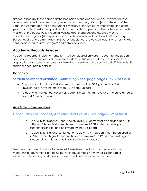grades (especially those earned at the beginning of the academic year) may not always adequately reflect a student's comprehension and mastery of a subject at the end of the year. The ultimate goal for each student is mastery of the subject matter by the end of the year. If a student performed poorly early in the academic year, and then later demonstrates mastery of the coursework, including working above and beyond assigned work, a re-evaluation of grade(s) may be rendered at the discretion of the Socrates Preparatory School faculty and administrators. This policy enables us to reward a student who has worked hard, persevered to attain progress and achieved success.

#### <span id="page-8-0"></span>**Academic Records Release**

Academic records - including transcripts - will be released only upon request by the student and parent. Transcript Request Forms are available in the office. Please be advised that preparation of academic records may take 1 to 2 weeks and may be withheld if the student's financial account is in default.

#### <span id="page-8-1"></span>**Honor Roll**

#### **Student Services/Guidance Counseling - See page pages 16-17 of the ICP**

- To qualify for High Honor Roll, students must maintain a GPA greater than 3.8 unweighted or have no more than 1 B in core subjects.
- To qualify for the Highest Honor Roll, students must maintain a GPA of 4.0 unweighted or have all A's in core subjects.

#### <span id="page-8-2"></span>*Academic Honor Societies*

#### **Continuation of Services, Activities and Events - See pages 8-9 of the ICP**

- o To qualify for National Honor Society (NHS), students must be enrolled as a 10th, 11th, or 12th grade student, have a minimum 3.3 GPA, demonstrate good student citizenship, and be invited by the NHS Board.
- o To qualify for National Junior Honor Society (NJHS), students must be enrolled as a 6th, 7th, or 8th grade student, have a minimum 3.0 GPA, demonstrate good student citizenship, and be invited by the NJHS Board.

Members of Academic Honor Societies will be reviewed periodically to ensure that all membership requirements are being maintained. Membership may be suspended or withdrawn, depending on student academic and behavioral performance.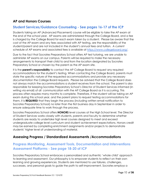#### <span id="page-9-0"></span>**AP and Honors Courses**

#### **Student Services/Guidance Counseling - See pages 16-17 of the ICP**

Students taking an AP (Advanced Placement) course will be eligible to take the AP exam at the end of the school year. AP exams are administered through the College Board, and a fee is charged by the College Board for each exam taken by a student. Please be aware that the cost of the AP exam and any fees associated with AP testing, are the responsibility of the student/parent and are not included in the student's annual fees and tuition. A current schedule of AP exams and associated fees is available at [https://www.collegeboard.org/.](https://www.collegeboard.org/)

Due to the fact that Socrates Preparatory School offers AP test tutoring, we are unable to administer AP exams on our campus. Parents will be required to make the necessary arrangements to transport their child to and from the location designated by Socrates Preparatory School or chosen by the parent as the AP exam site.

It is the **parent's responsibility** to contact the AP College Board to request any required accommodations for the student's testing. When contacting the College Board, parents must state the specific nature of the requested accommodations and provide any necessary documentation the College Board requests. Please be advised that the College Board does not always match the accommodations a student receives from the school. The parent is also responsible for keeping Socrates Preparatory School's Director of Student Services informed (in writing via email) of all communication with the AP College Board as it is occurring. This process often requires many months to complete. Therefore, if the student will be taking an AP exam during this school year, and the parent plans to request testing accommodations for them, it is **REQUIRED** that they begin the process (including written email notification to Socrates Preparatory School) no later than the first business day in September in order to ensure adequate time to work through the process.

Socrates Preparatory School offers **HONORS** level courses at the High School level. The Director of Student Services works closely with students, parents and faculty to determine whether students are ready to undertake high level courses designed to meet and exceed undergraduate college level curriculum and student achievement expectations. Honors credit may be earned by completing enrichment assignments and/or projects to demonstrate students' higher level of understanding of material.

#### <span id="page-9-1"></span>**Assessing Progress / Standardized Assessments /Accommodations**

#### **Progress Monitoring, Assessment Tools, Documentation and Interventions Assessment Platforms - See page 18-20 of ICP**

Socrates Preparatory School embraces a personalized and authentic 'whole child' approach to learning and assessment. Our philosophy is to empower students to reflect on their own learning and growing experiences. Students are mentored to use failures, challenges, successes, and personal goals to guide the path to self-improvement. Socrates employs a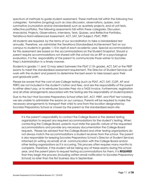spectrum of methods to guide student assessment. These methods fall within the following two categories: formative (ongoing) such as class discussion, observations, quizzes, and summative (cumulative and/or standardized) such as quarterly projects, end of unit tests, reflective portfolios. The following assessments fall within these categories: Discussion, Anecdotal, Projects, Observations, Interviews, Tests, Quizzes, and Reflective Portfolios, TerraNova Norm-referenced Assessment, ACT, SAT, SAT Subject, PSAT, PERT.

All students are required, by the terms of our accreditation to take a standardized test annually. Therefore, we administer the TerraNova Standardized Achievement Test on our campus to students in grades 1-10 in April of each academic year. Special accommodations for this assessment are based on the accommodations on the Student Snapshot. Should a parent require accommodations not shared with the school via an IEP or a psychological evaluation, it is the responsibility of the parent to communicate those wishes to Socrates Prep's Administration in a timely manner.

Students in grades 11 and 12 may select between the PSAT (11th grade), ACT, SAT or the PERT exams to meet the standardized assessment requirement. The Director of Student Services will work with the student and parents to determine the best exam to take based upon their post-graduate path.

Please be aware that the cost of pre-College testing (such as PSAT, ACT, SAT, CLEP, AP and PERT) are not included in the student's tuition and fees, and are the responsibility of the parent to either direct pay, or to reimburse Socrates Prep via a TADS invoice. Furthermore, registration and all other arrangements associated with the testing are the responsibility of student/parent.

Due to the fact that Socrates Preparatory School offers SAT, ACT, PERT, and PSAT test tutoring, we are unable to administer the exams on our campus. Parents will be required to make the necessary arrangements to transport their child to and from the location designated by Socrates Preparatory School or chosen by the parent as the standardized exam site.

It is the parent's responsibility to contact the College Board or the desired testing organization to request any required accommodations for the student's testing. When contacting the College Board, parents must state the specific nature of the requested accommodations and provide any necessary documentation the College Board requests. Please be advised that the College Board and other testing organizations do not always match the accommodations a student receives from the school. The parent is also responsible for keeping Socrates Preparatory School's Director of Student Services informed (in writing via email) of all communication with the College Board and/or other testing organizations as it is occurring. This process often requires many months to complete. Therefore, if the student will be taking any of these exams during this school year, and the parent plans to request testing accommodations for them, it is **REQUIRED** that they begin the process (including written email notification to Socrates Preparatory School) no later than the first business day in September.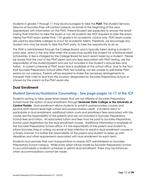Students in grades 7 through 11 may be encouraged to take the **PSAT**. The Student Services Director at Socrates Prep will contact parents via email at the beginning of the year (September) with information on the PSAT. Parent/Student are expected to answer the email stating their intention to take the exam or not. All students are NOT required to take the exam. Taking the PSAT exam earlier than 11th grade is an academic choice only. PSAT exam scores are used by reputable colleges to scout for academic talent. Therefore, we encourage any student who may be ready to take the PSAT early, to take the opportunity to do so.

The PSAT is administered through the College Board, and is typically taken during a student's junior year, which is the only time when the scores may qualify the student for a National Merit Scholarship. A fee is charged by the College Board for each exam taken by a student. Please be aware that the cost of the PSAT exam and any fees associated with PSAT testing, are the responsibility of the student/parent and are not included in the student's annual fees and tuition. A current schedule of PSAT exam fees is available at the school office. Due to the fact that Socrates Preparatory School offers PSAT test tutoring, we are unable to administer PSAT exams on our campus. Parents will be required to make the necessary arrangements to transport their child to and from the location designated by Socrates Preparatory School or chosen by the parent as the PSAT exam site.

#### <span id="page-11-0"></span>**Dual Enrollment**

#### **Student Services/Guidance Counseling - See page pages 16-17 of the ICP**

Students wishing to take upper level classes that are not offered at Socrates Preparatory School have the option of dual enrollment through **Seminole State College or the University of Central Florida**. Dual enrollment allows students to enroll in postsecondary courses and receive both Honors-level high school and postsecondary credit. If students elect to participate in dual enrollment, additional tuition costs and enrollment fees associated with the course are the responsibility of the parents and are not included in Socrates Preparatory School fees and tuition. All associated tuition and fees must be paid to Socrates Preparatory School upon registration for the dual enrollment course. Additional information is available at the Socrates Preparatory School office. It is the responsibility of the parent and student to inform Socrates Prep in writing via email of their intention to enroll in dual enrollment courses in a timely manner. It is further the responsibility of the parent and student to keep up with deadlines and other requirements associated with dual enrollment for each term.

Students must provide their own transportation to classes NOT administered on Socrates Preparatory School campus. While every effort will be made by Socrates Preparatory School to accommodate a student's schedule to permit dual enrollment, there may be instances when accommodations cannot be made.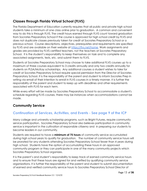#### <span id="page-12-0"></span>**Classes through Florida Virtual School (FLVS)**

The Florida Department of Education currently requires that all public and private high school students take a minimum of one class online prior to graduation. A common and convenient way to do this is through FLVS. The credit hours earned through FLVS count toward graduation from Socrates Preparatory School if the course is approved for high school credit by FLVS and does not duplicate classes previously taken for credit at Socrates Preparatory School or a previous school. Course descriptions, objectives, prerequisites and requirements are specified by FLVS and are available on their website at [https://flvs.net/home.](https://flvs.net/home) Work assignments and grades are provided by FLVS certified teachers, not the teachers at Socrates Preparatory School. It is the student's responsibility to keep themselves on task and to complete any associated assignments, tests, etc. and submit them to FLVS.

Students at Socrates Preparatory School may choose to take additional FLVS courses up to a maximum of three courses equivalent to 3 credits annually and only two credits annually for students on PLSA/McKay scholarships. Any additional courses a student wishes to take for credit at Socrates Preparatory School require special permission from the Director of Socrates Preparatory School. It is the responsibility of the parent and student to inform Socrates Prep in writing via email of their intention to enroll in FLVS courses in a timely manner. It is further the responsibility of the parent and student to keep up with deadlines and other requirements associated with FLVS for each term.

While every effort will be made by Socrates Preparatory School to accommodate a student's schedule regarding FLVS courses, there may be instances when accommodations cannot be made.

#### <span id="page-12-1"></span>**Community Service**

#### **Continuation of Services, Activities, and Events - See page 9 of the ICP**

Many college and university scholarship programs, such as Bright Futures, require community service participation. Socrates Preparatory School also believes participation in community service is important in the cultivation of responsible citizenry and in preparing our students to become leaders in our community.

Students are required to have a **minimum of 75 hours** of community service accumulated during high school years to qualify for graduation. The number of community service hours will be prorated for any students attending Socrates Preparatory School fewer than 4 years during high school. Students have the option of accumulating these hours in an approved community program or they can participate in one of the many community projects which Socrates Preparatory School organizes.

It is the parent's and student's responsibility to keep track of earned community service hours and to ensure that these hours are signed for and verified by qualifying community service organizations. It is further the responsibility of the parent and student to submit documentation of earned and verified community service hours to Socrates Preparatory School Director of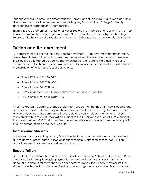Student Services via email in a timely manner. Parents and students must also keep up with all due dates and any other requirements regarding any Scholarship or College/University applications or organizational memberships.

**NOTE**: It is a requirement of The National Honor Society that members have a minimum of **100 hours** of community service to graduate with NHS alumni status. Scholarships such as Bright Futures and others may also require a minimum of 100 hours of community service to qualify.

# <span id="page-13-0"></span>**Tuition and Re-enrollment**

All parents must register their student(s) for re-enrollment. All re-enrollment documentation, re-enrollment fees and curriculum fees must be received via our online processing website TADS by the early February deadline (communicated to all parents via email) in order to reserve a space for the next academic year and to qualify for the reduced re-enrollment fee. A breakdown of tuition and fees are as follows:

- Annual Tuition \$11,950 G1-5
- Annual Tuition \$12,950 G6-8
- Annual Tuition \$13,950 G9-12
- \$175 Application Fee \$125 Re-enrollment Fee (non-refundable)
- \$850 Curriculum Fee (Grades 1-12)

After the February deadline, available classroom space may be filled with new students, and Socrates Preparatory School may not have space available for returning students. If, after the February deadline, classroom space is available and current students who have not yet re-enrolled wish to re-enroll, they will be subject to the full Application Fee of \$175 along with the corresponding \$850 Curriculum Fee due immediately upon re-enrollment and completion of all documentation on the TADS website.

#### <span id="page-13-1"></span>**Homebound Students**

In the event a Socrates Preparatory School student becomes homebound (or hospitalized) due to illness or other reason, tuition obligations remain in effect for that student. Tuition obligations remain as per the enrollment contract.

#### <span id="page-13-2"></span>**Unpaid Tuition**

For students to continue their enrollment in Socrates Preparatory School and to receive Report Cards and/or Transcripts, regular payments must be made. Where any payment on an account is in default for more than 60 days, Socrates Preparatory School may require the student to withdraw from classes until satisfactory arrangements are made. Transcripts and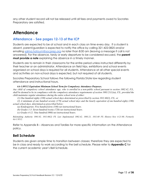any other student record will not be released until all fees and payments owed to Socrates Preparatory are satisfied.

# <span id="page-14-0"></span>**Attendance**

#### **Attendance - See pages 12-13 of the ICP**

Students are expected to be at school and in each class on time every day. If a student is absent, parent/guardian is expected to notify the office by calling 321-422-0825 and/or emailing [salma.hatoum@socprep.org](mailto:salma.hatoum@socprep.org) no later than 8:00 am (leaving a message if call is not answered). For the absence, tardy or early departure to be considered excused, the **parent must provide a note** explaining the absence in a timely manner.

Students are to remain in their classrooms for the entire period unless instructed differently by their teacher or an administrator. Attendance on field trips, exhibitions and school events organized on school days is required for all students. Attendance at all other special events and activities on non-school days is expected, but not required of all students.

Socrates Preparatory School follows the following Florida State law regarding student attendance and instructional hours.

#### *6A-1.09512 Equivalent Minimum School Term for Compulsory Attendance Purposes.*

Any child of compulsory school attendance age, who is enrolled in a non-public school pursuant to section 1002.42, F.S., shall be deemed to be in compliance with the compulsory attendance requirements of section  $1003.21(1)(a)$ , F.S., provided the *child maintains regular attendance during the entire school term of either:*

*(1) One hundred eighty (180) actual school days determined as prescribed by section 1011.60(2), F.S., or*

(2) A minimum of one hundred seventy (170) actual school days and the hourly equivalent of one hundred eighty (180) *actual school days, determined as prescribed below:*

*(a) Kindergarten: Five hundred forty (540) net instructional hours.*

*(b) Grades 1-3: Seven hundred twenty (720) net instructional hours.*

*(c) Grades 4-12: Nine hundred (900) net instructional hours.*

*Rulemaking Authority 1001.02, 1011.60(2) FS. Law Implemented 1002.42, 1003.21, 1011.60 FS. History–New 4-21-80, Formerly 6A-1.9512.*

Refer to Appendix B – Absences and Tardies for more specific information on the Attendance policy.

#### <span id="page-14-1"></span>**Bell Schedule**

Students are given ample time to transition between classes; therefore they are expected to be in class and ready to work according to the bell schedule. Please refer to **Appendix C** for the current academic year's Bell Schedule.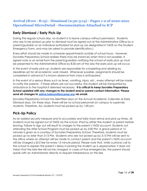#### **Arrival (8:00 - 8:15) - Dismissal (2:50-3:15) - Pages 1-2 of 2020-2021 Operational MicroDetail - Documentation Attached to ICP**

#### **Early Dismissal / Early Pick-Up**

During the regular school day, no student is to leave campus without permission. Students who are to be picked up prior to dismissal must be signed out at the Administrative Office by a parent/guardian or an individual authorized for pick-up (as designated in TADS on the Student Emergency Form, and may be asked to provide identification.)

Every effort should be made to schedule appointments outside of school hours. However, Socrates Preparatory School realizes there may be instances when that is not possible. A signed note or an email from the parent/guardian notifying the school of early pick up must be presented to the Administrative Office by 8:30 am of the day the early pick up will occur.

In the event of early pick-up, students are responsible for completing and abiding by deadlines set for all academic work missed. Whenever possible, assignments should be completed in advance if a known absence from class is anticipated.

In the event of a serious illness such as fever, vomiting, injury, etc., every attempt will be made to notify the parents. If these efforts are not successful, the student will be transported by ambulance to the hospital if deemed necessary. **It is critical to keep Socrates Preparatory School updated with any changes to the student and/or parent contact information. Please send all changes to [salma.hatoum@socprep.org](mailto:salma.hatoum@socprep.org) via email.**

Socrates Preparatory School has identified days on the Annual Academic Calendar as Early Dismissal days. On these days, there will be no school personnel on campus to supervise students. Therefore, ALL students must be picked up by 1:00 pm.

#### <span id="page-15-0"></span>**Pick-Up Policy**

As an added security measure and to accurately and fairly track arrival and pick-up times, all students must be signed out of TADS via the school iPad by either the student or parent before leaving. Failure to sign out will result to charges to the parent's TADS account. Students not attending the After School Program must be picked up by 3:00 PM. A grace period of 15 minutes is given as a courtesy of Socrates Preparatory School. Therefore, students must be picked up no later than 3:15 PM. Students who are not picked up by 3:15 PM will be sent to the office where an attempt will be made to contact parent and the parent's TADS account will be charged a \$12 fee for every 15 minute period. Please note that, while a phone call to the school to explain the parent's delay in picking the student up is appreciated, it does not mean that the late fee will not be charged. In cases of true emergencies, the parent should speak with an Administrator directly to request forbearance on this fee.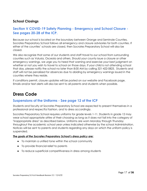#### <span id="page-16-0"></span>**School Closings**

#### **Section V COVID-19 Safety Planning - Emergency and School Closure - See pages 20-28 of the ICP.**

Because our school is located on the boundary between Orange and Seminole Counties, Socrates Preparatory School follows all emergency and closure advisories for both counties. If either of the counties' schools are closed, then Socrates Preparatory School will also be closed.

We also recognize that some of our students and staff travel to our school from surrounding counties such as Volusia, Osceola and others. Should your county issue a closure or other emergency warnings, we urge you to heed that warning and exercise your best judgment on whether or not you wish to travel to school on those days. If your child is not attending school that day, please notify the school no later than 8:00 AM by calling 321-422-0825. Students and staff will not be penalized for absences due to abiding by emergency warnings issued in the counties where they reside.

If conditions permit, closure updates will be posted on our website and Facebook page. Emails and/or text alerts will also be sent to all parents and students when possible.

## <span id="page-16-1"></span>**Dress Code**

#### **Suspensions of the Uniforms - See page 12 of the ICP**

Students and faculty at Socrates Preparatory School are expected to present themselves in a professional and respectful fashion, and to dress accordingly.

Socrates Preparatory School requires uniforms for grade levels 1-11. Students in grade 12 may wear school appropriate attire of their choosing as long as it does not fall into the category of "inappropriate dress" as described below. Uniforms are worn Monday through Thursday throughout the academic school year unless indicated otherwise by the school Administration. Notices will be sent to parents and students regarding any days on which the uniform policy is suspended.

#### *The goals of the Socrates Preparatory School's dress policy are:*

- To maintain a unified tone within the school community
- To provide financial relief to parents
- To reduce superficial competitiveness in dress among students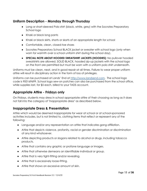#### <span id="page-17-0"></span>**Uniform Description - Monday through Thursday**

- Long or short-sleeved Polo shirt (black, white, grey) with the Socrates Preparatory School logo
- Khaki or black long pants
- Khaki or black skirts, shorts or skorts of an appropriate length for school
- Comfortable, clean, closed-toe shoes
- Socrates Preparatory School BLACK jacket or sweater with school logo (only when worn for warmth over a school uniform shirt during the school day).
- **SPECIAL NOTE ABOUT HOODED SWEATSHIRT JACKETS (HOODIES)**: No pullover hooded sweatshirts are allowed. SOLID BLACK, hooded zip-up jackets with the school logo on the front are permitted but must be worn with a uniform polo shirt underneath.

Uniforms must be clean, neat, and in good repair at all times. Failure to wear proper uniform attire will result in disciplinary action in the form of loss of privileges.

Uniforms can be purchased at Lands' End at <http://www.landsend.com>. The school logo code is 900169699. School logo sew-on patches can also be purchased from the school office, while supplies last, for \$5 each, billed to your TADS account.

#### <span id="page-17-1"></span>**Appropriate Attire - Fridays only**

On Fridays, students may dress in school appropriate attire of their choosing as long as it does not fall into the category of "inappropriate dress" as described below.

#### <span id="page-17-2"></span>**Inappropriate Dress & Presentation**

Attire which would be deemed inappropriate for wear at school or at school-sponsored activities includes, but is not limited to, clothing items that reflect or represent any of the following:

- Language and/or any representation on attire that indicates gang affiliation.
- Attire that depicts violence, profanity, racial or gender discrimination or discrimination of any kind whatsoever.
- Attire depicting products or slogans related to alcohol or drugs, including tobacco products.
- Attire that contains any graphic or profane language or images.
- Attire that otherwise demeans an identifiable individual or group.
- Attire that is very tight-fitting and/or revealing.
- Attire that is excessively loose-fitting.
- Attire that shows an excessive amount of skin.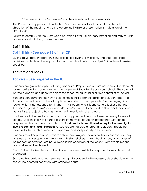**\*** The perception of "excessive" is at the discretion of the administration.

The Dress Code applies to all students at Socrates Preparatory School. It is at the sole discretion of the faculty and staff to determine if attire or presentation is in violation of the Dress Code.

Failure to comply with the Dress Code policy is a Level I Disciplinary infraction and may result in appropriate disciplinary consequences.

#### <span id="page-18-0"></span>**Spirit Shirts**

#### **Spirit Shirts - See page 12 of the ICP**

During all Socrates Preparatory School field trips, events, exhibitions, and other specified activities, students will be required to wear the school uniform or a Spirit Shirt unless otherwise specified.

#### <span id="page-18-1"></span>**Lockers and Locks**

#### **Lockers - See page 24 in the ICP**

Students are given the option of using a Socrates Prep locker, but are not required to do so. All lockers assigned to students remain the property of Socrates Preparatory School. They are not private property, and at no time does the school relinquish its exclusive control of its lockers.

Students can only store their own belongings in their assigned locker, and students may not trade lockers with each other at any time. A student cannot place his/her belongings in a locker which is not assigned to him/her. Any student who is found using a locker other than the one assigned to him/her, or who allows his/her locker to be used to store another student's belongings, is subject to having the locker immediately taken away.

Lockers are to be used to store only school supplies and personal items necessary for use at school. Lockers shall not be used to store items which cause an interference with school purposes or that violate school rules. **No food products are allowed in any locker overnight to avoid rodent and insect infestation.** Lockers are not burglar proof and students should not leave valuables such as money or expensive personal property in the lockers.

Students must keep their possessions only in their assigned lockers and are responsible for any assigned school property in their lockers. Posters, stickers, mirrors, hooks or any other types of permanent decorations are not allowed inside or outside of the locker. Removable magnets and shelves will be allowed.

Every Friday is locker clean-up day. Students are responsible to keep their lockers clean and organized.

Socrates Preparatory School reserves the right to proceed with necessary steps should a locker search be deemed necessary with probable cause.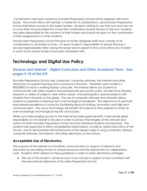Combination style locks owned by Socrates Preparatory School will be assigned with each locker. The school office will maintain a master list of combinations, and Socrates Preparatory School shall retain access to all student lockers. Students wishing to use their own lock may do so once they have provided the school the combination and/or the key to the lock. Students are solely responsible for the contents of their lockers and should not give out the combination of their assigned lock to other students.

The Socrates Preparatory School Principal or his/her designee shall have custody of all combinations to all lockers or locks. It is each student's responsibility to ensure the lock is secured appropriately after closing the locker and to report to the school office any incident in which locks and/or lockers have been tampered with.

# <span id="page-19-0"></span>**Technology and Digital Use Policy**

#### **Devices and Internet - Digital Curriculum and Other Academic Texts - See pages 9-10 of the ICP**

Socrates Preparatory School uses computers, computer software, the Internet and other electronics to support learning and to enhance instruction. Therefore, each student is REQUIRED to have a working laptop computer. The Internet allows our students to communicate with other students and professionals around the world, visit electronic libraries, research a variety of subjects, take online classes, and participate in special projects with students from all points on the globe. The use of computer software and networks allows students to experience learning from a technological standpoint. The objective is to promote educational excellence in school by facilitating resource sharing, innovation and high-tech communication. The use of technology will benefit all students as they prepare to enter an ever-increasingly technological industry and society.

While such wide-ranging access to the Internet provides great benefits, it also entails great responsibility on the behalf of all users in order to protect the integrity of the network and system for both Socrates Preparatory School and the individual students and teachers. The students are expected to follow all guidelines stated below, as well as verbal instructions of the faculty, and to demonstrate ethical behavior of the highest order in using computers, laptops, computer software, the Internet, and other electronics at the school.

#### <span id="page-19-1"></span>**Acceptable Use of Electronics**

The purpose of the Internet is to facilitate communication in support of research and education by providing access to unique resources and the opportunity for collaborative work. Students MUST adhere to these guidelines in order to retain electronics privileges:

• The use of the student's email account must only be in support of and consistent with the educational objectives of Socrates Preparatory School.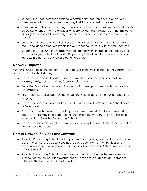- Students may not share their personal electronic devices with anyone else or allow someone else to borrow or use in any way their laptop, tablets or phones.
- Transmission and accessing of any material in violation of Socrates Preparatory School's guidelines or any U.S. or state regulation is prohibited. This includes, but is not limited to, copyrighted material, threatening or obscene material, and private or commercial material.
- Use of and access to any and all types of Internet social networks (Facebook, Twitter, etc.), and video games are prohibited during school hours EXCEPT during lunchtime.
- Students may not, under any circumstance, tamper with or change the security and firewall settings installed by Socrates Preparatory School onto the school computers, laptops, Internet, and any other electronic devices.

#### <span id="page-20-0"></span>**Network Etiquette**

Students MUST abide by the generally accepted rules of network etiquette. They include, but are not limited to, the following:

- Do not reveal personal address, phone numbers or other personal information for yourself, family, acquaintances, faculty or classmates.
- Be polite. Do not be abusive or disrespectful in messages, correspondence, or other transmissions.
- Use appropriate language. Do not swear, use vulgarities, or any other inappropriate language.
- Do not engage in activities that are prohibited by Socrates Preparatory School or state or federal law.
- Do not assume that electronic mail is private. Messages relating to, or in support of, illegal activities may be reported to the authorities and will result in consideration for expulsion from Socrates Preparatory School.
- Do not use or interact with the network in such a way that would disrupt the use of the network by other users.

#### <span id="page-20-1"></span>**Cost of Network Services and Software**

- Socrates Preparatory School is not responsible for any charges related to fee-for-service access to online resource services incurred by students other than services and accounts agreed upon and approved by Socrates Preparatory School in the terms of this agreement.
- Socrates Preparatory School makes no warranties of any kind, either expressed or implied, for the services it is providing and will not be responsible for any damages suffered. This includes, but is not limited to: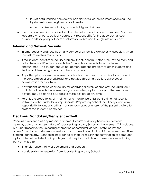- o loss of data resulting from delays, non-deliveries, or service interruptions caused by students' own negligence or otherwise
- o errors or omissions including any and all types of viruses.
- Use of any information obtained via the Internet is at each student's own risk. Socrates Preparatory School specifically denies any responsibility for the accuracy, and/or quality, and/or appropriateness of information obtained through Internet access.

#### <span id="page-21-0"></span>**Internet and Network Security**

- Internet security and security on any computer system is a high priority, especially when the system involves many users.
- If the student identifies a security problem, the student must stop work immediately and notify the school Principal or available faculty that a security issue has been encountered. The student should not demonstrate the problem to other students and risk the problem being spread to other computers.
- Any attempt to access the Internet or school accounts as an administrator will result in the cancellation of user privileges and possible disciplinary actions as serious as consideration for expulsion.
- Any student identified as a security risk or having a history of problems including focus and distraction with the Internet and/or computers, laptops, and/or other electronic devices may be denied privileges to those devices at any time.
- Parents are urged to install, maintain and monitor parental control/internet security software on the student's laptop. Socrates Preparatory School specifically denies any responsibility for any and all harm and/or damages as a result of the parent's failure to protect the student's computer.

#### <span id="page-21-1"></span>**Electronic Vandalism/Negligence/Theft**

Vandalism is defined as any malicious attempt to harm or destroy hardware, software, network, data of other users, data of Socrates Preparatory School or the Internet. This includes, but is not limited to, the uploading or creation of computer viruses. Per this policy, the parent/guardian and student understand and assume the ethical and financial responsibilities of using technology. Vandalism, negligence or theft will result in the termination of computer, laptop, Internet and electronic privileges and may incur additional consequences including but not limited to:

- financial responsibility of equipment and accounts
- <span id="page-21-2"></span>● consideration for expulsion from Socrates Preparatory School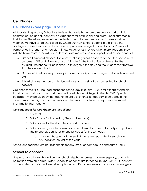#### **Cell Phones**

#### **Cell Phones - See page 10 of ICP**

At Socrates Preparatory School we believe that cell phones are a necessary part of daily communication and students will be using them for both social and professional purposes in their future. Therefore, we want our students to learn to use their phones in a responsible manner. We have established a policy where our high school students are allowed the privilege to utilize their phones for academic purposes during class and for social/personal purposes during lunch and non-class times. However, as they are given more freedom, they will also have more responsibility to demonstrate mature and appropriate cell phone conduct.

- Grades 1-8 no cell phones. If student must bring a cell phone to school, the phone must be turned OFF and given to an Administrator in the front office as they enter the building. The phone will be locked up throughout the day and the student may retrieve it as they leave school.
- Grades 9-12 cell phone put away in locker or backpack with ringer and vibration turned OFF.
- All cell phones must be on silent/no vibrate and must not be connected to school network.

Cell phones may NOT be used during the school day (8:00 am – 3:00 pm) except during class transitions and at lunchtime for students with cell phone privileges in Grades 9-12. Specific permission may be given by the teacher to use cell phones for academic purposes in the classroom for our High School students, and students must abide by any rules established at that time by their teacher.

#### <span id="page-22-0"></span>*Consequences for Cell Phone Use Infractions:*

- 1. Warning
- 2. Take Phone for the period, (Report Liveschool)
- 3. Take phone for the day, (Send email to parents)
- 4. Take phone, give it to administrator, send email to parents to notify and pick up the phone, student loses phone privileges for the semester.
	- a. If incident happens at the end of the semester, student loses phone privileges for the rest of the year.

School and teachers are not responsible for any loss of or damage to confiscated items.

#### <span id="page-22-1"></span>**School Telephones**

No personal calls are allowed on the school telephones unless it is an emergency, and with permission from an Administrator. School telephones are for school business only. Students will not be called out of class to receive a phone call. If a parent needs to convey a message to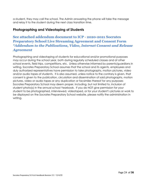a student, they may call the school. The Admin answering the phone will take the message and relay it to the student during the next class transition time.

#### <span id="page-23-0"></span>**Photographing and Videotaping of Students**

#### **See attached addendum document to ICP - 2020-2021 Socrates Preparatory School Live Streaming Agreement and Consent Form** *\*Addendum to the Publications, Video, Internet Consent and Release Agreement*

Photographing and videotaping of students for educational and/or promotional purposes may occur during the school year, both during regularly scheduled classes and at other school events, field trips, competitions, etc. Unless otherwise informed by parents/guardians in writing, Socrates Preparatory School assumes that the school and its agents, employees and duly authorized representatives have permission to take photographs, motion pictures, video and/or audio tapes of students. It is also assumed, unless notice to the contrary is given, that consent is given to the publication, circulation and dissemination of said photographs, motion pictures, video or audio tapes or any duplication or facsimiles thereof for any purposes Socrates Preparatory School may deem proper, including, but not limited to, inclusion of student photo(s) in the annual school Yearbook. If you do NOT give permission for your student to be photographed, interviewed, videotaped, or for your student's pictures or work to be displayed on the Socrates Preparatory School website, please notify the administration in writing.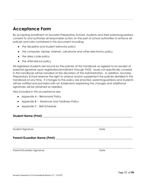# <span id="page-24-0"></span>**Acceptance Form**

By accepting enrollment at Socrates Preparatory School, students and their parents/guardians consent to and authorize all reasonable action on the part of school authorities to enforce all policies and rules contained in this document including:

- the discipline and student behavior policy
- the computer, laptop, Internet, cell phone and other electronics policy
- the dress code policy
- the attendance policy

All registered students are bound by the policies of this handbook as agreed to by receipt of parental signature upon registration/enrollment through TADS. Issues not specifically covered in this handbook will be handled at the discretion of the Administration. In addition, Socrates Preparatory School reserves the right to amend and/or supplement the policies detailed in this handbook at any time. If changes to the policy are enacted, parents/guardians and students will be notified and provided with an Addendum explaining the changes and additional signatures will be obtained as needed.

\_\_\_\_\_\_\_\_\_\_\_\_\_\_\_\_\_\_\_\_\_\_\_\_\_\_\_\_\_\_\_\_\_\_\_\_\_\_\_\_\_\_\_\_\_\_\_\_\_\_\_\_\_\_\_\_\_\_\_\_\_\_\_\_\_\_\_\_\_\_\_\_\_\_\_\_\_\_\_\_\_\_\_\_\_\_\_\_\_\_\_\_\_\_\_\_\_\_\_\_

Also included in this acceptance are:

- Appendix A Behavioral Policy
- Appendix B Absences and Tardiness Policy
- Appendix C Bell Schedule

**Student Name (Print): \_\_\_\_\_\_\_\_\_\_\_\_\_\_\_\_\_\_\_\_\_\_\_\_\_\_\_\_\_\_\_\_\_\_\_\_\_\_\_\_\_\_\_\_\_\_\_\_\_\_\_\_\_\_\_\_\_\_\_\_\_\_**

\_\_\_\_\_\_\_\_\_\_\_\_\_\_\_\_\_\_\_\_\_\_\_\_\_\_\_\_\_\_\_\_\_\_\_\_\_\_\_\_\_\_\_\_\_\_\_\_\_\_\_\_\_\_\_\_\_\_\_\_\_\_\_\_\_\_\_\_\_\_\_\_\_\_\_\_\_\_\_\_\_\_\_\_\_\_\_\_\_\_\_\_\_\_\_\_\_\_\_\_ Student Signature Date Date of the United Student Signature Date Date Date of the United Students of the United Students of the United Students of the United Students of the United Students of the United Students of the Un

**Parent/Guardian Name (Print): \_\_\_\_\_\_\_\_\_\_\_\_\_\_\_\_\_\_\_\_\_\_\_\_\_\_\_\_\_\_\_\_\_\_\_\_\_\_\_\_\_\_\_\_\_\_\_\_\_\_\_\_\_**

Parent/Guardian Signature **Date** Date Date **Date**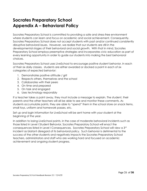# <span id="page-25-0"></span>**Socrates Preparatory School Appendix A – Behavioral Policy**

Socrates Preparatory School is committed to providing a safe and stress-free environment where students can learn and focus on academic and social achievement. Consequently, Socrates Preparatory School does not accept students with past and/or continued consistently disruptive behavioral issues. However, we realize that our students are still in the developmental stages of their behavioral and social growth. With that in mind, Socrates Preparatory School employs preemptive strategies and incorporates civic education as part of every learning opportunity in order to guide our students into making the best behavioral choices.

Socrates Preparatory School uses LiveSchool to encourage positive student behavior. In each of their six daily classes, students are either awarded or docked a point in each of six categories of expected behavior:

- 1. Demonstrates positive attitude / grit
- 2. Respects others, themselves and the school
- 3. Collaborates with their peers
- 4. On time and prepared
- 5. On task and engaged
- 6. Uses technology responsibly

If a teacher takes a point away, they must include a message to explain. The student, their parents and the other teachers will all be able to see and monitor these comments. As students accumulate points, they are able to "spend" them in the school store on snack items, small toys, uniform and homework passes, etc.

Set up and login information for LiveSchool will be sent home with your student at the beginning of the year.

In addition to losing LiveSchool points, in the case of moderate behavioral incidents such as those listed in Level I Student Behavior, Socrates Preparatory School will enact the consequences listed in Level I Consequences. Socrates Preparatory School will view a 3rd incident as blatant disregard of its behavioral policy. Such behavior is detrimental to the success of the other students and negatively impacts the Socrates Preparatory School teachers, administrators and staff who are working hard and focused on academic achievement and ongoing student progress.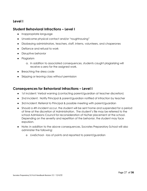#### <span id="page-26-0"></span>**Level I**

#### <span id="page-26-1"></span>**Student Behavioral Infractions – Level I**

- Inappropriate language
- Unwelcome physical contact and/or "roughhousing"
- Disobeying administrators, teachers, staff, interns, volunteers, and chaperones
- Defiance and refusal to work
- Disruptive behavior
- Plagiarism
	- a. In addition to associated consequences, students caught plagiarizing will receive a zero for the assigned work.
- Breaching the dress code
- Skipping or leaving class without permission

#### <span id="page-26-2"></span>**Consequences for Behavioral Infractions – Level I**

- 1st incident: Verbal warning (contacting parent/guardian at teacher discretion)
- 2nd incident: Notify Principal & parent/guardian notified of infraction by teacher
- 3rd incident: Referral to Principal & possible meeting with parent/guardian
- Should a 4th incident occur, the student will be sent home and suspended for a period of time at the discretion of Administration. The student's file may be referred to the school Admissions Council for reconsideration of his/her placement at the school. Depending on the severity and repetition of the behavior, the student may face expulsion.
- Note: in addition to the above consequences, Socrates Preparatory School will also administer the following:
	- o LiveSchool loss of points and reported to parent/guardian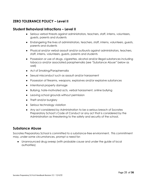#### <span id="page-27-0"></span>**ZERO TOLERANCE POLICY – Level II**

#### <span id="page-27-1"></span>**Student Behavioral Infractions – Level II**

- Serious verbal threats against administrators, teachers, staff, interns, volunteers, guests, parents and students
- Endangering the lives of administrators, teachers, staff, interns, volunteers, guests, parents and students
- Physical and/or verbal assault and/or outbursts against administrators, teachers, staff, interns, volunteers, guests, parents and students
- Possession or use of drugs, cigarettes, alcohol and/or illegal substances including tobacco and/or associated paraphernalia (see "Substance Abuse" below as well)
- Act of Smoking/Paraphernalia
- Sexual misconduct such as assault and/or harassment
- Possession of firearms, weapons, explosives and/or explosive substances
- Intentional property damage
- Bullying, hate-motivated acts, verbal harassment, online bullying
- Leaving school grounds without permission
- Theft and/or burglary
- Serious technology violation
- Any act considered by Administration to be a serious breach of Socrates Preparatory School's Code of Conduct or any act that is considered by the Administration as threatening to the safety and security of the school.

#### <span id="page-27-2"></span>**Substance Abuse**

Socrates Preparatory School is committed to a substance-free environment. This commitment may, under some circumstances, prompt a need for:

● Unannounced drug sweep (with probable cause and under the guide of local authorities)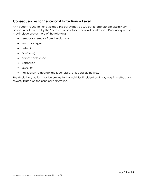#### <span id="page-28-0"></span>**Consequences for Behavioral Infractions – Level II**

Any student found to have violated this policy may be subject to appropriate disciplinary action as determined by the Socrates Preparatory School Administration. Disciplinary action may include one or more of the following:

- temporary removal from the classroom
- loss of privileges
- detention
- counseling
- parent conference
- suspension
- expulsion
- notification to appropriate local, state, or federal authorities.

The disciplinary action may be unique to the individual incident and may vary in method and severity based on the principal's discretion.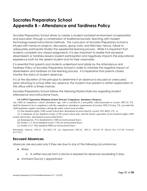# <span id="page-29-0"></span>**Socrates Preparatory School Appendix B – Attendance and Tardiness Policy**

Socrates Preparatory School strives to create a student-centered environment of exploration and education through a combination of traditional Socratic teaching with modern technology-based instructional methods. The curriculum at Socrates Preparatory School is infused with hands-on projects, discussions, group work, and field trips; hence, failure to adequately participate hinders the experiential learning process. While it is important that students complete any missed assignments, it is also important to realize that excessive absenteeism or tardiness lessens student participation and negatively impacts the educational experience both for the absent student and for their classmates.

It is essential that parents and students understand and abide by the Attendance and Tardiness Policy of Socrates Preparatory School in order to minimize the negative impact of absenteeism and tardiness on the learning process. It is imperative that parents closely monitor the status of student absences.

It is at the discretion of the principal to determine if an absence is excused or unexcused. Upon returning to school after any absence, the student must present a written explanation to the office within a timely manner.

Socrates Preparatory School follows the following Florida State law regarding student attendance and instructional hours.

#### *6A-1.09512 Equivalent Minimum School Term for Compulsory Attendance Purposes.*

Any child of compulsory school attendance age, who is enrolled in a non-public school pursuant to section 1002.42, F.S., shall be deemed to be in compliance with the compulsory attendance requirements of section  $1003.21(1)(a)$ , F.S., provided the *child maintains regular attendance during the entire school term of either:*

*(1) One hundred eighty (180) actual school days determined as prescribed by section 1011.60(2), F.S., or*

(2) A minimum of one hundred seventy (170) actual school days and the hourly equivalent of one hundred eighty (180) *actual school days, determined as prescribed below:*

- *(a) Kindergarten: Five hundred forty (540) net instructional hours.*
- *(b) Grades 1-3: Seven hundred twenty (720) net instructional hours.*
- *(c) Grades 4-12: Nine hundred (900) net instructional hours.*

*Rulemaking Authority 1001.02, 1011.60(2) FS. Law Implemented 1002.42, 1003.21, 1011.60 FS. History–New 4-21-80, Formerly 6A-1.9512.*

#### <span id="page-29-1"></span>**Excused Absences**

Absences are excused only if they are due to any of the following circumstances:

- Illness
	- o A written excuse from a doctor is required for absences exceeding 3 days
- Imminent Doctor's appointment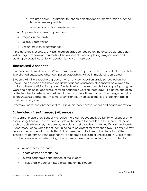- o We urge parents/guardians to schedule doctor appointments outside of school hours whenever possible.
- o A written doctor's excuse is required.
- Approved academic appointment
- Tragedy in the family
- Religious observation
- Dire unforeseen circumstances

If the absence is excused, any participation grade scheduled on the excused absence day will be forgiven; however, students will be responsible for completing assigned work and abiding by deadlines set for all academic work on those days.

#### <span id="page-30-0"></span>**Unexcused Absences**

Students are allowed only two (2) unexcused absences per semester. If a student exceeds the two allowed unexcused absences, parents/guardians will be immediately contacted.

Students will initially receive a grade of "0" on any participation grade scheduled on the unexcused absence days; however, at the teacher's discretion, students will be allowed to make up these participation grades. Students will also be responsible for completing assigned work and abiding by deadlines set for all academic work on those days. It is at the discretion of the teacher to determine whether full credit can be attained on a missed assignment due to an unexcused absence. In some circumstances when assignments are late, only partial credit may be given.

Excessive unexcused absences will result in disciplinary consequences and academic review.

#### <span id="page-30-1"></span>**Scheduled (Pre-Arranged) Absences**

At Socrates Preparatory School, we realize there can occasionally be family functions or other social obligations which may arise outside of the time off scheduled in the school calendar. If such an obligation arises, the parents/guardians must provide a written notification to Socrates Preparatory School when the student is going to be absent for more than two (2) days in a row beyond the number of days allotted in this agreement. It is then at the discretion of the principal to determine if the absence will be deemed excused or unexcused. Multiple factors may be considered in determining if the absence is excused including, but not limited to:

- Reason for the absence
- Length of time off requested
- Overall academic performance of the student
- Anticipated impact of missed class time on the student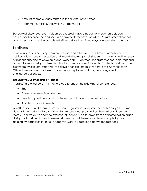- Amount of time already missed in the quarter or semester
- Assignments, testing, etc. which will be missed

Scheduled absences (even if deemed excused) have a negative impact on a student's educational experience and should be avoided whenever possible. As with other absences, any missed work must be completed either before the missed days or upon return to school.

#### <span id="page-31-0"></span>**Tardiness**

Punctuality fosters courtesy, communication, and effective use of time. Students who are habitually late cause interruption and impede learning for all students. In order to instill a sense of responsibility and to develop proper work habits, Socrates Preparatory School holds students accountable for being on time to school, classes and special events. Students must be in their classroom by 8:15 am. Students who arrive after 8:15 am must report to the Administration Office. Unwarranted tardiness to class is unacceptable and may be categorized as unexcused absences.

#### <span id="page-31-1"></span>*Excused versus Unexcused "Tardies"*

"Tardies" are excused only if they are due to any of the following circumstances:

- Illness
- Dire unforeseen circumstances
- Health appointments with note from practitioner turned into office
- Academic appointments

A written or emailed excuse from the parent/guardian is required for each "tardy" the same day that the student is tardy. If a written excuse is not provided by the next day, then the "tardy". If a "tardy" is deemed excused, students will be forgiven from any participation grade during that portion of class; however, students will still be responsible for completing and abiding by deadlines set for all academic work (as described above for absences).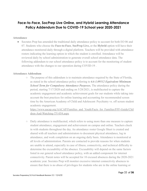#### <span id="page-32-0"></span>**Face-to-Face, SocPrep Live Online, and Hybrid Learning Attendance Policy Addendum Due to COVID-19 School year 2020-2021**

#### **Attendance**

• Socrates Prep has amended the traditional daily attendance policy to account for both EO 06 and 07. Students who choose the **Face-to-Face**, **SocPrep Live,** or the **Hybrid** option will have their attendance monitored daily through a digital platform. Teachers will be provided with attendance rosters indicating the learning option in which the student is enrolled. Attendance will be reviewed daily by school administration to generate overall school attendance data. The following addendum to our school attendance policy is to account for the monitoring of student attendance with the changes to our operation during COVID-19 .

#### **Attendance Addendum**

 $\circ$  The purpose of this addendum is to maintain attendance required by the State of Florida, as stated in the school attendance policy referring to *6A-1.09512 Equivalent Minimum School Term for Compulsory Attendance Purposes.* The attendance policy during the period, starting 7/17/2020 and ending on 5/28/2021, is multifaceted to capture the academic engagement and academic achievement goals for our students while taking into account the best practices for online learning and accounting for recommended screen time by the American Academy of Child and Adolescent Psychiatry vs. off screen student academic engagement.

[https://www.aacap.org/AACAP/Families\\_and\\_Youth/Facts\\_for\\_Families/FFF-Guide/Chil](https://www.aacap.org/AACAP/Families_and_Youth/Facts_for_Families/FFF-Guide/Children-And-Watching-TV-054.aspx) [dren-And-Watching-TV-054.aspx](https://www.aacap.org/AACAP/Families_and_Youth/Facts_for_Families/FFF-Guide/Children-And-Watching-TV-054.aspx)

○ Daily attendance is multifaceted, which refers to using more than one measure to capture student attendance, engagement and achievement on campus and online. Teachers check in with students throughout the day. An attendance roster Google Sheet is created and shared with all teachers and administrators to document physical attendance, log in attendance, and work completion on an ongoing daily basis. Attendance is monitored at all levels of administration. Parents are contacted to provide reasons for when students are unable to attend, especially in case of illness, connectivity, and technical difficulty to determine the excusability of the absence. Excusability will depend on the same factors listed in our general school attendance policy, with an added component for internet connectivity. Parent notes will be accepted for 10 excused absences during the 2020-2021 academic year. Socrates Prep will monitor excessive internet connectivity absences to ensure that there is no abuse of privileges for students who are in the online learning or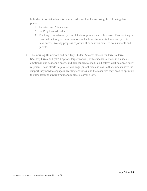hybrid options. Attendance is then recorded on Thinkwave using the following data points:

- 1. Face-to-Face Attendance
- 2. SocPrep Live Attendance
- 3. Tracking of satisfactorily completed assignments and other tasks. This tracking is recorded on Google Classroom to which administrators, students, and parents have access. Weekly progress reports will be sent via email to both students and parents.
- The morning Homeroom and mid-Day Student Success classes for **Face-to-Face, SocPrep Live** and **Hybrid** options target working with students to check in on social, emotional, and academic needs, and help students schedule a healthy, well-balanced daily regimen. These efforts help to retrieve engagement data and ensure that students have the support they need to engage in learning activities, and the resources they need to optimize the new learning environment and mitigate learning loss.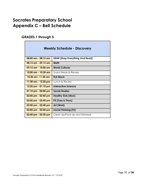# <span id="page-34-0"></span>**Socrates Preparatory School Appendix C – Bell Schedule**

#### <span id="page-34-1"></span>**GRADES 1 through 5**

| <b>Weekly Schedule - Discovery</b>    |                                        |
|---------------------------------------|----------------------------------------|
| $08:00$ am $-08:15$ am                | <b>DEAR (Drop Everything And Read)</b> |
| $08:15$ am - $09:15$ am               | Math                                   |
| $09:15$ am - $10:00$ am               | <b>World Cultures</b>                  |
| 10:00 am - 10:30 am                   | <b>Snack Break &amp; Recess</b>        |
| <u>10:30 am -11:30 am </u>            | <b>ELA Block</b>                       |
| 11:30 am - 12:20 pm                   | Lunch & Recess                         |
| $12:20$ pm - 01:10 pm                 | <b>Interactive Science</b>             |
| $01:10 \text{ pm} - 02:00 \text{ pm}$ | Social Studies                         |
| $02:00$ pm - $02:40$ pm               | <b>Healthy Kids (Mon)</b>              |
| $02:00$ pm - $02:40$ pm               | PE (Tues & Thurs)                      |
| 02:00 pm - 02:40 pm                   | Art (Wed)                              |
| $02:00$ pm - $02:40$ pm               | <b>Social Thinking (Fri)</b>           |
| $02:40$ pm - $02:50$ pm               | Clean Up/Pack Up and Dismissal         |